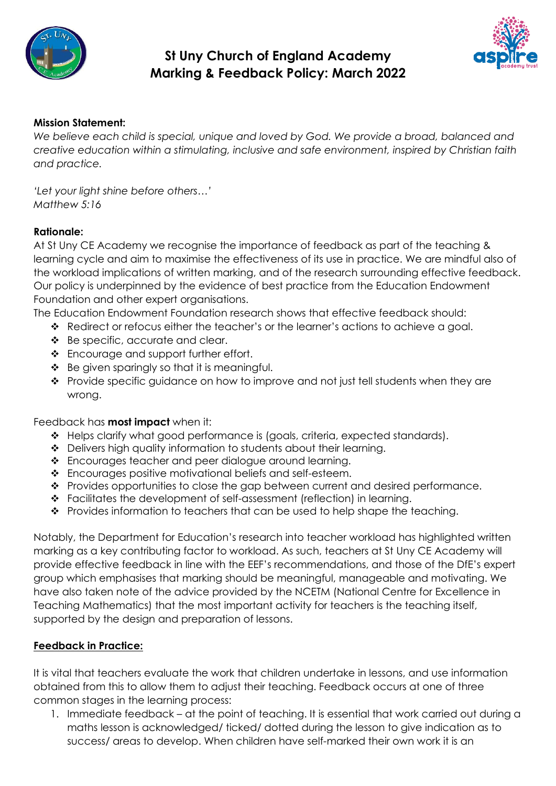

# **St Uny Church of England Academy Marking & Feedback Policy: March 2022**



## **Mission Statement:**

*We believe each child is special, unique and loved by God. We provide a broad, balanced and creative education within a stimulating, inclusive and safe environment, inspired by Christian faith and practice.* 

*'Let your light shine before others…' Matthew 5:16*

#### **Rationale:**

At St Uny CE Academy we recognise the importance of feedback as part of the teaching & learning cycle and aim to maximise the effectiveness of its use in practice. We are mindful also of the workload implications of written marking, and of the research surrounding effective feedback. Our policy is underpinned by the evidence of best practice from the Education Endowment Foundation and other expert organisations.

The Education Endowment Foundation research shows that effective feedback should:

- ❖ Redirect or refocus either the teacher's or the learner's actions to achieve a goal.
- ❖ Be specific, accurate and clear.
- ❖ Encourage and support further effort.
- $\div$  Be given sparingly so that it is meaningful.
- ❖ Provide specific guidance on how to improve and not just tell students when they are wrong.

Feedback has **most impact** when it:

- ❖ Helps clarify what good performance is (goals, criteria, expected standards).
- ❖ Delivers high quality information to students about their learning.
- ❖ Encourages teacher and peer dialogue around learning.
- ❖ Encourages positive motivational beliefs and self-esteem.
- ❖ Provides opportunities to close the gap between current and desired performance.
- ❖ Facilitates the development of self-assessment (reflection) in learning.
- ❖ Provides information to teachers that can be used to help shape the teaching.

Notably, the Department for Education's research into teacher workload has highlighted written marking as a key contributing factor to workload. As such, teachers at St Uny CE Academy will provide effective feedback in line with the EEF's recommendations, and those of the DfE's expert group which emphasises that marking should be meaningful, manageable and motivating. We have also taken note of the advice provided by the NCETM (National Centre for Excellence in Teaching Mathematics) that the most important activity for teachers is the teaching itself, supported by the design and preparation of lessons.

#### **Feedback in Practice:**

It is vital that teachers evaluate the work that children undertake in lessons, and use information obtained from this to allow them to adjust their teaching. Feedback occurs at one of three common stages in the learning process:

1. Immediate feedback – at the point of teaching. It is essential that work carried out during a maths lesson is acknowledged/ ticked/ dotted during the lesson to give indication as to success/ areas to develop. When children have self-marked their own work it is an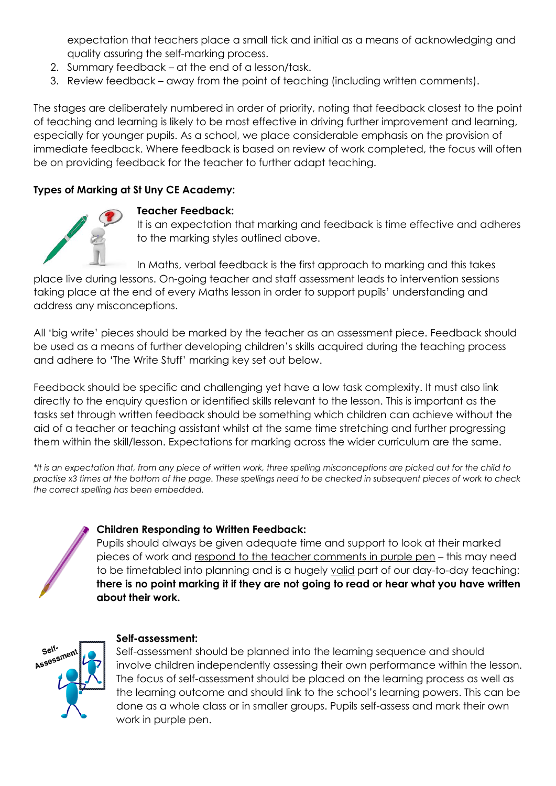expectation that teachers place a small tick and initial as a means of acknowledging and quality assuring the self-marking process.

- 2. Summary feedback at the end of a lesson/task.
- 3. Review feedback away from the point of teaching (including written comments).

The stages are deliberately numbered in order of priority, noting that feedback closest to the point of teaching and learning is likely to be most effective in driving further improvement and learning, especially for younger pupils. As a school, we place considerable emphasis on the provision of immediate feedback. Where feedback is based on review of work completed, the focus will often be on providing feedback for the teacher to further adapt teaching.

# **Types of Marking at St Uny CE Academy:**



#### **Teacher Feedback:**

It is an expectation that marking and feedback is time effective and adheres to the marking styles outlined above.

In Maths, verbal feedback is the first approach to marking and this takes place live during lessons. On-going teacher and staff assessment leads to intervention sessions taking place at the end of every Maths lesson in order to support pupils' understanding and address any misconceptions.

All 'big write' pieces should be marked by the teacher as an assessment piece. Feedback should be used as a means of further developing children's skills acquired during the teaching process and adhere to 'The Write Stuff' marking key set out below.

Feedback should be specific and challenging yet have a low task complexity. It must also link directly to the enquiry question or identified skills relevant to the lesson. This is important as the tasks set through written feedback should be something which children can achieve without the aid of a teacher or teaching assistant whilst at the same time stretching and further progressing them within the skill/lesson. Expectations for marking across the wider curriculum are the same.

*\*It is an expectation that, from any piece of written work, three spelling misconceptions are picked out for the child to practise x3 times at the bottom of the page. These spellings need to be checked in subsequent pieces of work to check the correct spelling has been embedded.* 

# **Children Responding to Written Feedback:**

Pupils should always be given adequate time and support to look at their marked pieces of work and respond to the teacher comments in purple pen – this may need to be timetabled into planning and is a hugely valid part of our day-to-day teaching: **there is no point marking it if they are not going to read or hear what you have written about their work.** 



# **Self-assessment:**

Self-assessment should be planned into the learning sequence and should involve children independently assessing their own performance within the lesson. The focus of self-assessment should be placed on the learning process as well as the learning outcome and should link to the school's learning powers. This can be done as a whole class or in smaller groups. Pupils self-assess and mark their own work in purple pen.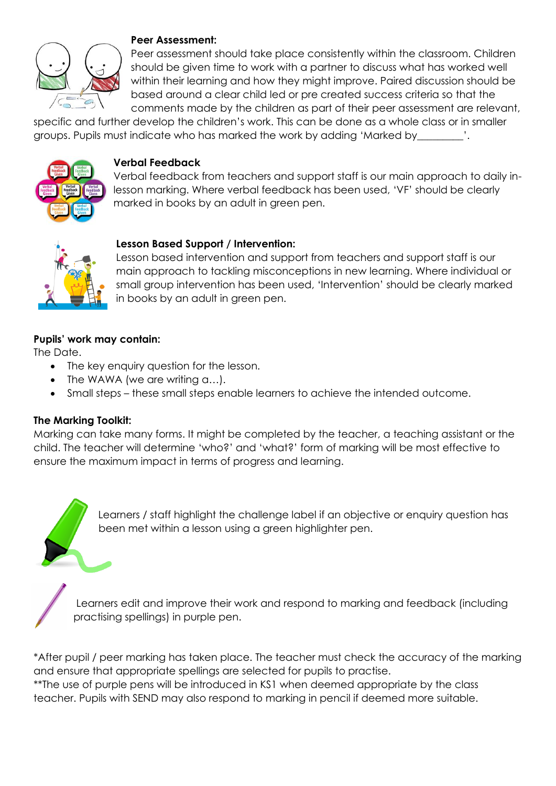

#### **Peer Assessment:**

Peer assessment should take place consistently within the classroom. Children should be given time to work with a partner to discuss what has worked well within their learning and how they might improve. Paired discussion should be based around a clear child led or pre created success criteria so that the comments made by the children as part of their peer assessment are relevant,

specific and further develop the children's work. This can be done as a whole class or in smaller groups. Pupils must indicate who has marked the work by adding 'Marked by\_\_\_\_\_\_\_\_\_'.



## **Verbal Feedback**

Verbal feedback from teachers and support staff is our main approach to daily inlesson marking. Where verbal feedback has been used, 'VF' should be clearly marked in books by an adult in green pen.



## **Lesson Based Support / Intervention:**

Lesson based intervention and support from teachers and support staff is our main approach to tackling misconceptions in new learning. Where individual or small group intervention has been used, 'Intervention' should be clearly marked in books by an adult in green pen.

## **Pupils' work may contain:**

The Date.

- The key enquiry question for the lesson.
- The WAWA (we are writing a...).
- Small steps these small steps enable learners to achieve the intended outcome.

#### **The Marking Toolkit:**

Marking can take many forms. It might be completed by the teacher, a teaching assistant or the child. The teacher will determine 'who?' and 'what?' form of marking will be most effective to ensure the maximum impact in terms of progress and learning.

> Learners / staff highlight the challenge label if an objective or enquiry question has been met within a lesson using a green highlighter pen.

Learners edit and improve their work and respond to marking and feedback (including practising spellings) in purple pen.

\*After pupil / peer marking has taken place. The teacher must check the accuracy of the marking and ensure that appropriate spellings are selected for pupils to practise. \*\*The use of purple pens will be introduced in KS1 when deemed appropriate by the class teacher. Pupils with SEND may also respond to marking in pencil if deemed more suitable.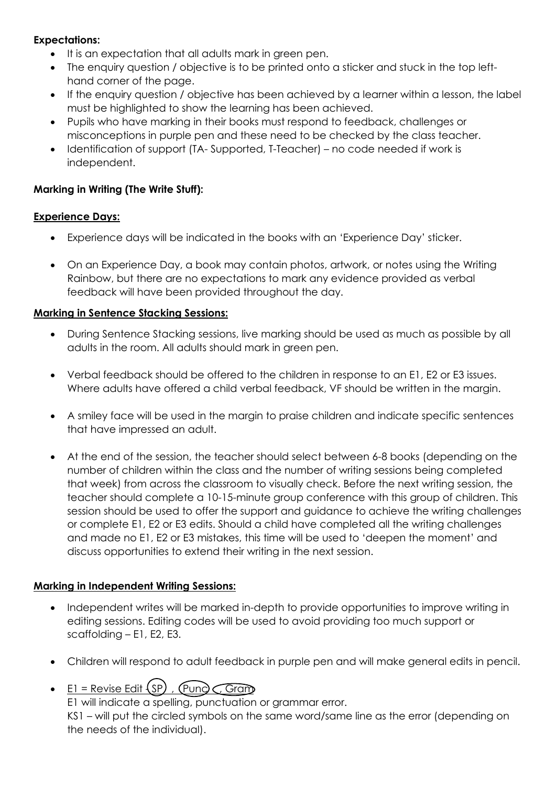## **Expectations:**

- It is an expectation that all adults mark in green pen.
- The enquiry question / objective is to be printed onto a sticker and stuck in the top lefthand corner of the page.
- If the enquiry question / objective has been achieved by a learner within a lesson, the label must be highlighted to show the learning has been achieved.
- Pupils who have marking in their books must respond to feedback, challenges or misconceptions in purple pen and these need to be checked by the class teacher.
- Identification of support (TA- Supported, T-Teacher) no code needed if work is independent.

# **Marking in Writing (The Write Stuff):**

## **Experience Days:**

- Experience days will be indicated in the books with an 'Experience Day' sticker.
- On an Experience Day, a book may contain photos, artwork, or notes using the Writing Rainbow, but there are no expectations to mark any evidence provided as verbal feedback will have been provided throughout the day.

# **Marking in Sentence Stacking Sessions:**

- During Sentence Stacking sessions, live marking should be used as much as possible by all adults in the room. All adults should mark in green pen.
- Verbal feedback should be offered to the children in response to an E1, E2 or E3 issues. Where adults have offered a child verbal feedback, VF should be written in the margin.
- A smiley face will be used in the margin to praise children and indicate specific sentences that have impressed an adult.
- At the end of the session, the teacher should select between 6-8 books (depending on the number of children within the class and the number of writing sessions being completed that week) from across the classroom to visually check. Before the next writing session, the teacher should complete a 10-15-minute group conference with this group of children. This session should be used to offer the support and guidance to achieve the writing challenges or complete E1, E2 or E3 edits. Should a child have completed all the writing challenges and made no E1, E2 or E3 mistakes, this time will be used to 'deepen the moment' and discuss opportunities to extend their writing in the next session.

# **Marking in Independent Writing Sessions:**

- Independent writes will be marked in-depth to provide opportunities to improve writing in editing sessions. Editing codes will be used to avoid providing too much support or scaffolding – E1, E2, E3.
- Children will respond to adult feedback in purple pen and will make general edits in pencil.
- E1 = Revise Edit  $(SP)$ ,  $(P$ und  $\widehat{C}$ , Gram

E1 will indicate a spelling, punctuation or grammar error.

KS1 – will put the circled symbols on the same word/same line as the error (depending on the needs of the individual).